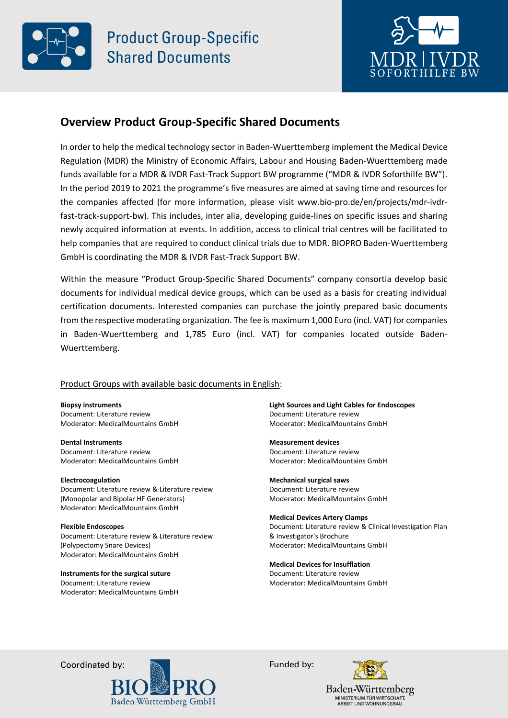



## **Overview Product Group-Specific Shared Documents**

In order to help the medical technology sector in Baden-Wuerttemberg implement the Medical Device Regulation (MDR) the Ministry of Economic Affairs, Labour and Housing Baden-Wuerttemberg made funds available for a MDR & IVDR Fast-Track Support BW programme ("MDR & IVDR Soforthilfe BW"). In the period 2019 to 2021 the programme's five measures are aimed at saving time and resources for the companies affected (for more information, please visit www.bio-pro.de/en/projects/mdr-ivdrfast-track-support-bw). This includes, inter alia, developing guide-lines on specific issues and sharing newly acquired information at events. In addition, access to clinical trial centres will be facilitated to help companies that are required to conduct clinical trials due to MDR. BIOPRO Baden-Wuerttemberg GmbH is coordinating the MDR & IVDR Fast-Track Support BW.

Within the measure "Product Group-Specific Shared Documents" company consortia develop basic documents for individual medical device groups, which can be used as a basis for creating individual certification documents. Interested companies can purchase the jointly prepared basic documents from the respective moderating organization. The fee is maximum 1,000 Euro (incl. VAT) for companies in Baden-Wuerttemberg and 1,785 Euro (incl. VAT) for companies located outside Baden-Wuerttemberg.

## Product Groups with available basic documents in English:

**Biopsy instruments**  Document: Literature review Moderator: MedicalMountains GmbH

**Dental Instruments**  Document: Literature review Moderator: MedicalMountains GmbH

**Electrocoagulation**  Document: Literature review & Literature review (Monopolar and Bipolar HF Generators) Moderator: MedicalMountains GmbH

**Flexible Endoscopes**  Document: Literature review & Literature review (Polypectomy Snare Devices) Moderator: MedicalMountains GmbH

**Instruments for the surgical suture**  Document: Literature review Moderator: MedicalMountains GmbH **Light Sources and Light Cables for Endoscopes**  Document: Literature review Moderator: MedicalMountains GmbH

**Measurement devices**  Document: Literature review Moderator: MedicalMountains GmbH

**Mechanical surgical saws**  Document: Literature review Moderator: MedicalMountains GmbH

**Medical Devices Artery Clamps**  Document: Literature review & Clinical Investigation Plan & Investigator's Brochure Moderator: MedicalMountains GmbH

**Medical Devices for Insufflation** Document: Literature review Moderator: MedicalMountains GmbH

Coordinated by:  $\qquad \qquad \qquad$  Funded by: